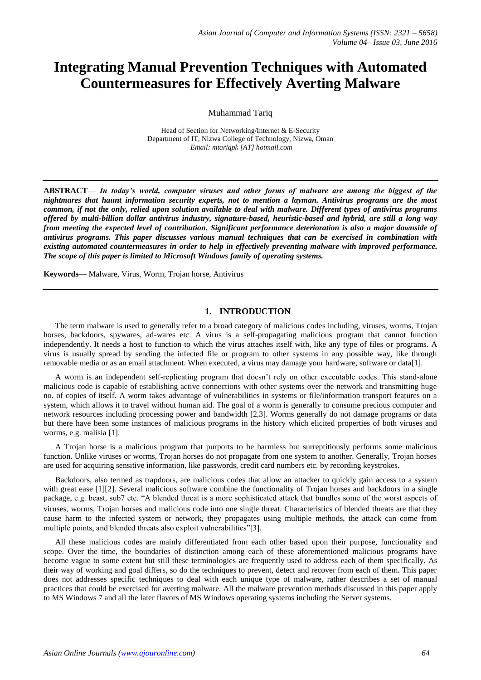# **Integrating Manual Prevention Techniques with Automated Countermeasures for Effectively Averting Malware**

Muhammad Tariq

Head of Section for Networking/Internet & E-Security Department of IT, Nizwa College of Technology, Nizwa, Oman *Email: mtariqpk [AT] hotmail.com*

**ABSTRACT**— *In today's world, computer viruses and other forms of malware are among the biggest of the nightmares that haunt information security experts, not to mention a layman. Antivirus programs are the most common, if not the only, relied upon solution available to deal with malware. Different types of antivirus programs offered by multi-billion dollar antivirus industry, signature-based, heuristic-based and hybrid, are still a long way from meeting the expected level of contribution. Significant performance deterioration is also a major downside of antivirus programs. This paper discusses various manual techniques that can be exercised in combination with existing automated countermeasures in order to help in effectively preventing malware with improved performance. The scope of this paper is limited to Microsoft Windows family of operating systems.*

**Keywords—** Malware, Virus, Worm, Trojan horse, Antivirus

## **1. INTRODUCTION**

The term malware is used to generally refer to a broad category of malicious codes including, viruses, worms, Trojan horses, backdoors, spywares, ad-wares etc. A virus is a self-propagating malicious program that cannot function independently. It needs a host to function to which the virus attaches itself with, like any type of files or programs. A virus is usually spread by sending the infected file or program to other systems in any possible way, like through removable media or as an email attachment. When executed, a virus may damage your hardware, software or data[1].

A worm is an independent self-replicating program that doesn't rely on other executable codes. This stand-alone malicious code is capable of establishing active connections with other systems over the network and transmitting huge no. of copies of itself. A worm takes advantage of vulnerabilities in systems or file/information transport features on a system, which allows it to travel without human aid. The goal of a worm is generally to consume precious computer and network resources including processing power and bandwidth [2,3]. Worms generally do not damage programs or data but there have been some instances of malicious programs in the history which elicited properties of both viruses and worms, e.g. malisia [1].

A Trojan horse is a malicious program that purports to be harmless but surreptitiously performs some malicious function. Unlike viruses or worms, Trojan horses do not propagate from one system to another. Generally, Trojan horses are used for acquiring sensitive information, like passwords, credit card numbers etc. by recording keystrokes.

Backdoors, also termed as trapdoors, are malicious codes that allow an attacker to quickly gain access to a system with great ease [1][2]. Several malicious software combine the functionality of Trojan horses and backdoors in a single package, e.g. beast, sub7 etc. "A blended threat is a more sophisticated attack that bundles some of the worst aspects of viruses, worms, Trojan horses and malicious code into one single threat. Characteristics of blended threats are that they cause harm to the infected system or network, they propagates using multiple methods, the attack can come from multiple points, and blended threats also exploit vulnerabilities"[3].

All these malicious codes are mainly differentiated from each other based upon their purpose, functionality and scope. Over the time, the boundaries of distinction among each of these aforementioned malicious programs have become vague to some extent but still these terminologies are frequently used to address each of them specifically. As their way of working and goal differs, so do the techniques to prevent, detect and recover from each of them. This paper does not addresses specific techniques to deal with each unique type of malware, rather describes a set of manual practices that could be exercised for averting malware. All the malware prevention methods discussed in this paper apply to MS Windows 7 and all the later flavors of MS Windows operating systems including the Server systems.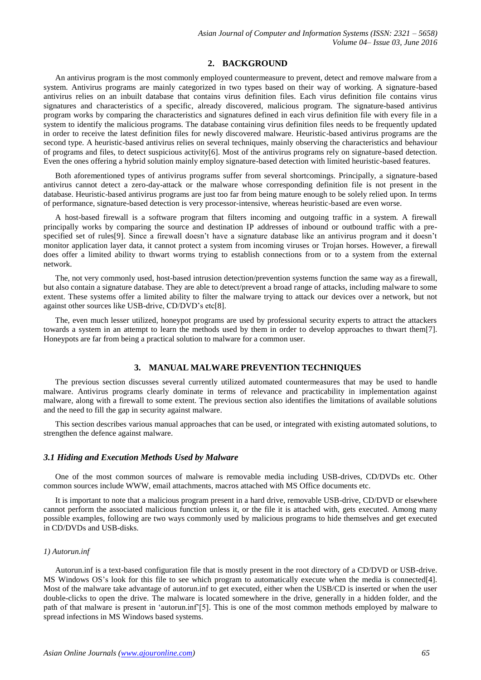## **2. BACKGROUND**

An antivirus program is the most commonly employed countermeasure to prevent, detect and remove malware from a system. Antivirus programs are mainly categorized in two types based on their way of working. A signature-based antivirus relies on an inbuilt database that contains virus definition files. Each virus definition file contains virus signatures and characteristics of a specific, already discovered, malicious program. The signature-based antivirus program works by comparing the characteristics and signatures defined in each virus definition file with every file in a system to identify the malicious programs. The database containing virus definition files needs to be frequently updated in order to receive the latest definition files for newly discovered malware. Heuristic-based antivirus programs are the second type. A heuristic-based antivirus relies on several techniques, mainly observing the characteristics and behaviour of programs and files, to detect suspicious activity[6]. Most of the antivirus programs rely on signature-based detection. Even the ones offering a hybrid solution mainly employ signature-based detection with limited heuristic-based features.

Both aforementioned types of antivirus programs suffer from several shortcomings. Principally, a signature-based antivirus cannot detect a zero-day-attack or the malware whose corresponding definition file is not present in the database. Heuristic-based antivirus programs are just too far from being mature enough to be solely relied upon. In terms of performance, signature-based detection is very processor-intensive, whereas heuristic-based are even worse.

A host-based firewall is a software program that filters incoming and outgoing traffic in a system. A firewall principally works by comparing the source and destination IP addresses of inbound or outbound traffic with a prespecified set of rules[9]. Since a firewall doesn't have a signature database like an antivirus program and it doesn't monitor application layer data, it cannot protect a system from incoming viruses or Trojan horses. However, a firewall does offer a limited ability to thwart worms trying to establish connections from or to a system from the external network.

The, not very commonly used, host-based intrusion detection/prevention systems function the same way as a firewall, but also contain a signature database. They are able to detect/prevent a broad range of attacks, including malware to some extent. These systems offer a limited ability to filter the malware trying to attack our devices over a network, but not against other sources like USB-drive, CD/DVD's etc[8].

The, even much lesser utilized, honeypot programs are used by professional security experts to attract the attackers towards a system in an attempt to learn the methods used by them in order to develop approaches to thwart them[7]. Honeypots are far from being a practical solution to malware for a common user.

# **3. MANUAL MALWARE PREVENTION TECHNIQUES**

The previous section discusses several currently utilized automated countermeasures that may be used to handle malware. Antivirus programs clearly dominate in terms of relevance and practicability in implementation against malware, along with a firewall to some extent. The previous section also identifies the limitations of available solutions and the need to fill the gap in security against malware.

This section describes various manual approaches that can be used, or integrated with existing automated solutions, to strengthen the defence against malware.

#### *3.1 Hiding and Execution Methods Used by Malware*

One of the most common sources of malware is removable media including USB-drives, CD/DVDs etc. Other common sources include WWW, email attachments, macros attached with MS Office documents etc.

It is important to note that a malicious program present in a hard drive, removable USB-drive, CD/DVD or elsewhere cannot perform the associated malicious function unless it, or the file it is attached with, gets executed. Among many possible examples, following are two ways commonly used by malicious programs to hide themselves and get executed in CD/DVDs and USB-disks.

#### *1) Autorun.inf*

Autorun.inf is a text-based configuration file that is mostly present in the root directory of a CD/DVD or USB-drive. MS Windows OS's look for this file to see which program to automatically execute when the media is connected<sup>[4]</sup>. Most of the malware take advantage of autorun.inf to get executed, either when the USB/CD is inserted or when the user double-clicks to open the drive. The malware is located somewhere in the drive, generally in a hidden folder, and the path of that malware is present in 'autorun.inf'[5]. This is one of the most common methods employed by malware to spread infections in MS Windows based systems.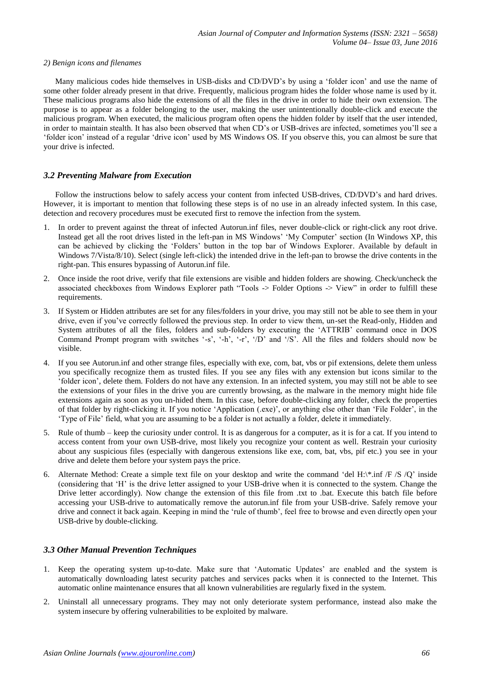#### *2) Benign icons and filenames*

Many malicious codes hide themselves in USB-disks and CD/DVD's by using a 'folder icon' and use the name of some other folder already present in that drive. Frequently, malicious program hides the folder whose name is used by it. These malicious programs also hide the extensions of all the files in the drive in order to hide their own extension. The purpose is to appear as a folder belonging to the user, making the user unintentionally double-click and execute the malicious program. When executed, the malicious program often opens the hidden folder by itself that the user intended, in order to maintain stealth. It has also been observed that when CD's or USB-drives are infected, sometimes you'll see a ‗folder icon' instead of a regular ‗drive icon' used by MS Windows OS. If you observe this, you can almost be sure that your drive is infected.

## *3.2 Preventing Malware from Execution*

Follow the instructions below to safely access your content from infected USB-drives, CD/DVD's and hard drives. However, it is important to mention that following these steps is of no use in an already infected system. In this case, detection and recovery procedures must be executed first to remove the infection from the system.

- 1. In order to prevent against the threat of infected Autorun.inf files, never double-click or right-click any root drive. Instead get all the root drives listed in the left-pan in MS Windows' 'My Computer' section (In Windows XP, this can be achieved by clicking the 'Folders' button in the top bar of Windows Explorer. Available by default in Windows 7/Vista/8/10). Select (single left-click) the intended drive in the left-pan to browse the drive contents in the right-pan. This ensures bypassing of Autorun.inf file.
- 2. Once inside the root drive, verify that file extensions are visible and hidden folders are showing. Check/uncheck the associated checkboxes from Windows Explorer path "Tools  $\rightarrow$  Folder Options  $\rightarrow$  View" in order to fulfill these requirements.
- 3. If System or Hidden attributes are set for any files/folders in your drive, you may still not be able to see them in your drive, even if you've correctly followed the previous step. In order to view them, un-set the Read-only, Hidden and System attributes of all the files, folders and sub-folders by executing the 'ATTRIB' command once in DOS Command Prompt program with switches '-s', '-h', '-r', '/D' and '/S'. All the files and folders should now be visible.
- 4. If you see Autorun.inf and other strange files, especially with exe, com, bat, vbs or pif extensions, delete them unless you specifically recognize them as trusted files. If you see any files with any extension but icons similar to the ‗folder icon', delete them. Folders do not have any extension. In an infected system, you may still not be able to see the extensions of your files in the drive you are currently browsing, as the malware in the memory might hide file extensions again as soon as you un-hided them. In this case, before double-clicking any folder, check the properties of that folder by right-clicking it. If you notice 'Application (.exe)', or anything else other than 'File Folder', in the ‗Type of File' field, what you are assuming to be a folder is not actually a folder, delete it immediately.
- 5. Rule of thumb keep the curiosity under control. It is as dangerous for a computer, as it is for a cat. If you intend to access content from your own USB-drive, most likely you recognize your content as well. Restrain your curiosity about any suspicious files (especially with dangerous extensions like exe, com, bat, vbs, pif etc.) you see in your drive and delete them before your system pays the price.
- 6. Alternate Method: Create a simple text file on your desktop and write the command 'del H: $\kappa$ .inf /F /S /O' inside (considering that ‗H' is the drive letter assigned to your USB-drive when it is connected to the system. Change the Drive letter accordingly). Now change the extension of this file from .txt to .bat. Execute this batch file before accessing your USB-drive to automatically remove the autorun.inf file from your USB-drive. Safely remove your drive and connect it back again. Keeping in mind the 'rule of thumb', feel free to browse and even directly open your USB-drive by double-clicking.

## *3.3 Other Manual Prevention Techniques*

- 1. Keep the operating system up-to-date. Make sure that 'Automatic Updates' are enabled and the system is automatically downloading latest security patches and services packs when it is connected to the Internet. This automatic online maintenance ensures that all known vulnerabilities are regularly fixed in the system.
- 2. Uninstall all unnecessary programs. They may not only deteriorate system performance, instead also make the system insecure by offering vulnerabilities to be exploited by malware.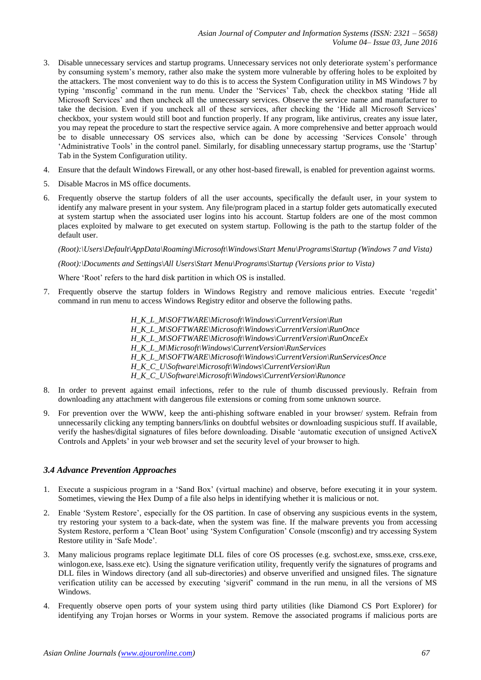- 3. Disable unnecessary services and startup programs. Unnecessary services not only deteriorate system's performance by consuming system's memory, rather also make the system more vulnerable by offering holes to be exploited by the attackers. The most convenient way to do this is to access the System Configuration utility in MS Windows 7 by typing 'msconfig' command in the run menu. Under the 'Services' Tab, check the checkbox stating 'Hide all Microsoft Services' and then uncheck all the unnecessary services. Observe the service name and manufacturer to take the decision. Even if you uncheck all of these services, after checking the 'Hide all Microsoft Services' checkbox, your system would still boot and function properly. If any program, like antivirus, creates any issue later, you may repeat the procedure to start the respective service again. A more comprehensive and better approach would be to disable unnecessary OS services also, which can be done by accessing 'Services Console' through ‗Administrative Tools' in the control panel. Similarly, for disabling unnecessary startup programs, use the ‗Startup' Tab in the System Configuration utility.
- 4. Ensure that the default Windows Firewall, or any other host-based firewall, is enabled for prevention against worms.
- 5. Disable Macros in MS office documents.
- 6. Frequently observe the startup folders of all the user accounts, specifically the default user, in your system to identify any malware present in your system. Any file/program placed in a startup folder gets automatically executed at system startup when the associated user logins into his account. Startup folders are one of the most common places exploited by malware to get executed on system startup. Following is the path to the startup folder of the default user.

*(Root):\Users\Default\AppData\Roaming\Microsoft\Windows\Start Menu\Programs\Startup (Windows 7 and Vista)*

## *(Root):\Documents and Settings\All Users\Start Menu\Programs\Startup (Versions prior to Vista)*

Where 'Root' refers to the hard disk partition in which OS is installed.

- 7. Frequently observe the startup folders in Windows Registry and remove malicious entries. Execute 'regedit' command in run menu to access Windows Registry editor and observe the following paths.
	- *H\_K\_L\_M\SOFTWARE\Microsoft\Windows\CurrentVersion\Run H\_K\_L\_M\SOFTWARE\Microsoft\Windows\CurrentVersion\RunOnce H\_K\_L\_M\SOFTWARE\Microsoft\Windows\CurrentVersion\RunOnceEx H\_K\_L\_M\Microsoft\Windows\CurrentVersion\RunServices H\_K\_L\_M\SOFTWARE\Microsoft\Windows\CurrentVersion\RunServicesOnce H\_K\_C\_U\Software\Microsoft\Windows\CurrentVersion\Run H\_K\_C\_U\Software\Microsoft\Windows\CurrentVersion\Runonce*
- 8. In order to prevent against email infections, refer to the rule of thumb discussed previously. Refrain from downloading any attachment with dangerous file extensions or coming from some unknown source.
- 9. For prevention over the WWW, keep the anti-phishing software enabled in your browser/ system. Refrain from unnecessarily clicking any tempting banners/links on doubtful websites or downloading suspicious stuff. If available, verify the hashes/digital signatures of files before downloading. Disable ‗automatic execution of unsigned ActiveX Controls and Applets' in your web browser and set the security level of your browser to high.

## *3.4 Advance Prevention Approaches*

- 1. Execute a suspicious program in a ‗Sand Box' (virtual machine) and observe, before executing it in your system. Sometimes, viewing the Hex Dump of a file also helps in identifying whether it is malicious or not.
- 2. Enable ‗System Restore', especially for the OS partition. In case of observing any suspicious events in the system, try restoring your system to a back-date, when the system was fine. If the malware prevents you from accessing System Restore, perform a ‗Clean Boot' using ‗System Configuration' Console (msconfig) and try accessing System Restore utility in 'Safe Mode'.
- 3. Many malicious programs replace legitimate DLL files of core OS processes (e.g. svchost.exe, smss.exe, crss.exe, winlogon.exe, lsass.exe etc). Using the signature verification utility, frequently verify the signatures of programs and DLL files in Windows directory (and all sub-directories) and observe unverified and unsigned files. The signature verification utility can be accessed by executing 'sigverif' command in the run menu, in all the versions of MS Windows.
- 4. Frequently observe open ports of your system using third party utilities (like Diamond CS Port Explorer) for identifying any Trojan horses or Worms in your system. Remove the associated programs if malicious ports are